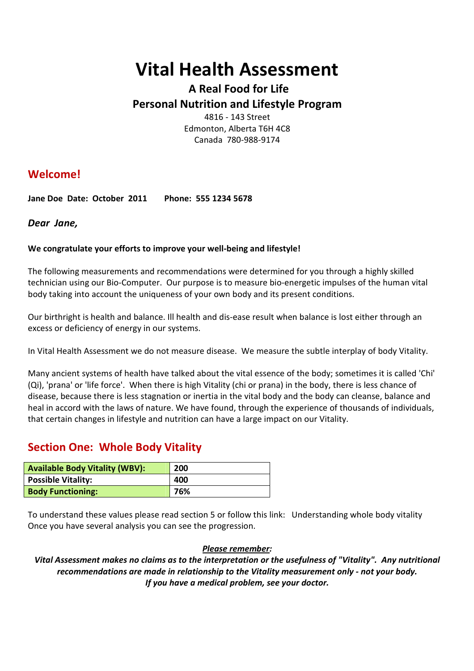# **Vital Health Assessment**

# **A Real Food for Life Personal Nutrition and Lifestyle Program**

4816 - 143 Street Edmonton, Alberta T6H 4C8 Canada 780-988-9174

# **Welcome!**

**Jane Doe Date: October 2011 Phone: 555 1234 5678**

#### *Dear Jane,*

#### **We congratulate your efforts to improve your well-being and lifestyle!**

The following measurements and recommendations were determined for you through a highly skilled technician using our Bio-Computer. Our purpose is to measure bio-energetic impulses of the human vital body taking into account the uniqueness of your own body and its present conditions.

Our birthright is health and balance. Ill health and dis-ease result when balance is lost either through an excess or deficiency of energy in our systems.

In Vital Health Assessment we do not measure disease. We measure the subtle interplay of body Vitality.

Many ancient systems of health have talked about the vital essence of the body; sometimes it is called 'Chi' (Qi), 'prana' or 'life force'. When there is high Vitality (chi or prana) in the body, there is less chance of disease, because there is less stagnation or inertia in the vital body and the body can cleanse, balance and heal in accord with the laws of nature. We have found, through the experience of thousands of individuals, that certain changes in lifestyle and nutrition can have a large impact on our Vitality.

# **Section One: Whole Body Vitality**

| <b>Available Body Vitality (WBV):</b> | 200 |
|---------------------------------------|-----|
| <b>Possible Vitality:</b>             | 400 |
| <b>Body Functioning:</b>              | 76% |

To understand these values please read section 5 or follow this link: Understanding whole body vitality Once you have several analysis you can see the progression.

#### *Please remember:*

*Vital Assessment makes no claims as to the interpretation or the usefulness of "Vitality". Any nutritional recommendations are made in relationship to the Vitality measurement only - not your body. If you have a medical problem, see your doctor.*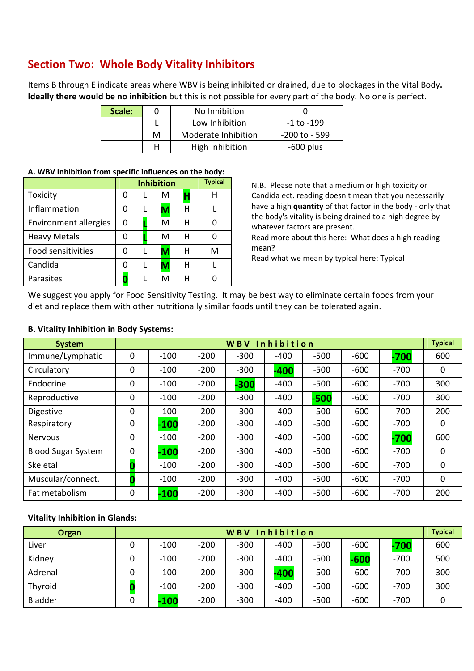# **Section Two: Whole Body Vitality Inhibitors**

Items B through E indicate areas where WBV is being inhibited or drained, due to blockages in the Vital Body**. Ideally there would be no inhibition** but this is not possible for every part of the body. No one is perfect.

| Scale: |   | No Inhibition       |               |
|--------|---|---------------------|---------------|
|        |   | Low Inhibition      | -1 to -199    |
|        | М | Moderate Inhibition | -200 to - 599 |
|        |   | High Inhibition     | $-600$ plus   |

#### **A. WBV Inhibition from specific influences on the body:**

|                              |   | <b>Typical</b> |   |   |
|------------------------------|---|----------------|---|---|
| Toxicity                     | O | м              |   | н |
| Inflammation                 | N | М              | н |   |
| <b>Environment allergies</b> | 0 | м              | н |   |
| <b>Heavy Metals</b>          | O | м              | н |   |
| <b>Food sensitivities</b>    | O | м              | н | м |
| Candida                      | 0 | M              | н |   |
| Parasites                    |   | м              | н |   |

N.B. Please note that a medium or high toxicity or Candida ect. reading doesn't mean that you necessarily have a high **quantity** of that factor in the body - only that the body's vitality is being drained to a high degree by whatever factors are present.

Read more about this here: What does a high reading mean?

Read what we mean by typical here: Typical

We suggest you apply for Food Sensitivity Testing. It may be best way to eliminate certain foods from your diet and replace them with other nutritionally similar foods until they can be tolerated again.

| <b>System</b>             | <b>Inhibition</b><br><b>WBV</b> |        |        |        |        |        |        |        | <b>Typical</b> |
|---------------------------|---------------------------------|--------|--------|--------|--------|--------|--------|--------|----------------|
| Immune/Lymphatic          | $\mathbf 0$                     | $-100$ | $-200$ | $-300$ | $-400$ | $-500$ | $-600$ | $-700$ | 600            |
| Circulatory               | 0                               | $-100$ | $-200$ | $-300$ | $-400$ | $-500$ | $-600$ | $-700$ | 0              |
| Endocrine                 | 0                               | $-100$ | $-200$ | $-300$ | $-400$ | $-500$ | $-600$ | $-700$ | 300            |
| Reproductive              | 0                               | $-100$ | $-200$ | $-300$ | $-400$ | $-500$ | $-600$ | $-700$ | 300            |
| <b>Digestive</b>          | $\mathbf 0$                     | $-100$ | $-200$ | $-300$ | $-400$ | $-500$ | $-600$ | $-700$ | 200            |
| Respiratory               | 0                               | $-100$ | $-200$ | $-300$ | $-400$ | $-500$ | $-600$ | $-700$ | 0              |
| Nervous                   | 0                               | $-100$ | $-200$ | $-300$ | $-400$ | $-500$ | $-600$ | $-700$ | 600            |
| <b>Blood Sugar System</b> | $\mathbf 0$                     | $-100$ | $-200$ | $-300$ | $-400$ | $-500$ | $-600$ | $-700$ | 0              |
| Skeletal                  |                                 | $-100$ | $-200$ | $-300$ | $-400$ | $-500$ | $-600$ | $-700$ | 0              |
| Muscular/connect.         |                                 | $-100$ | $-200$ | $-300$ | $-400$ | $-500$ | $-600$ | $-700$ | 0              |
| Fat metabolism            | 0                               | $-100$ | $-200$ | $-300$ | $-400$ | $-500$ | $-600$ | $-700$ | 200            |

#### **B. Vitality Inhibition in Body Systems:**

#### **Vitality Inhibition in Glands:**

| Organ   | WBV Inhibition |        |        |        |        |        | <b>Typical</b> |        |     |
|---------|----------------|--------|--------|--------|--------|--------|----------------|--------|-----|
| Liver   | 0              | $-100$ | $-200$ | $-300$ | $-400$ | $-500$ | $-600$         | $-700$ | 600 |
| Kidney  | 0              | $-100$ | $-200$ | $-300$ | $-400$ | $-500$ | -600           | $-700$ | 500 |
| Adrenal | 0              | $-100$ | $-200$ | $-300$ | -400   | $-500$ | $-600$         | $-700$ | 300 |
| Thyroid |                | $-100$ | $-200$ | $-300$ | $-400$ | $-500$ | $-600$         | $-700$ | 300 |
| Bladder | 0              | $-100$ | $-200$ | $-300$ | $-400$ | $-500$ | $-600$         | $-700$ |     |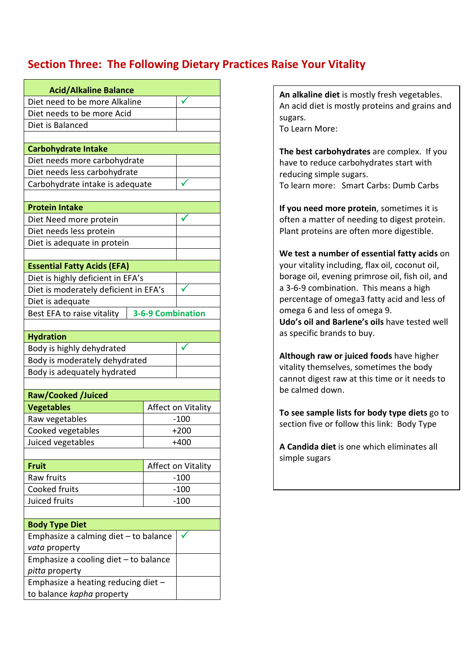# **Section Three: The Following Dietary Practices Raise Your Vitality**

| <b>Acid/Alkaline Balance</b>                                 |                          |                    |  |  |  |
|--------------------------------------------------------------|--------------------------|--------------------|--|--|--|
| Diet need to be more Alkaline                                |                          |                    |  |  |  |
| Diet needs to be more Acid                                   |                          |                    |  |  |  |
| Diet is Balanced                                             |                          |                    |  |  |  |
|                                                              |                          |                    |  |  |  |
| <b>Carbohydrate Intake</b>                                   |                          |                    |  |  |  |
| Diet needs more carbohydrate                                 |                          |                    |  |  |  |
| Diet needs less carbohydrate                                 |                          |                    |  |  |  |
| Carbohydrate intake is adequate                              |                          |                    |  |  |  |
|                                                              |                          |                    |  |  |  |
| <b>Protein Intake</b>                                        |                          |                    |  |  |  |
| Diet Need more protein                                       |                          |                    |  |  |  |
| Diet needs less protein                                      |                          |                    |  |  |  |
| Diet is adequate in protein                                  |                          |                    |  |  |  |
|                                                              |                          |                    |  |  |  |
| <b>Essential Fatty Acids (EFA)</b>                           |                          |                    |  |  |  |
| Diet is highly deficient in EFA's                            |                          |                    |  |  |  |
| Diet is moderately deficient in EFA's                        |                          |                    |  |  |  |
| Diet is adequate                                             |                          |                    |  |  |  |
| Best EFA to raise vitality                                   | <b>3-6-9 Combination</b> |                    |  |  |  |
| <b>Hydration</b>                                             |                          |                    |  |  |  |
|                                                              |                          |                    |  |  |  |
| Body is highly dehydrated                                    |                          |                    |  |  |  |
| Body is moderately dehydrated<br>Body is adequately hydrated |                          |                    |  |  |  |
|                                                              |                          |                    |  |  |  |
| <b>Raw/Cooked /Juiced</b>                                    |                          |                    |  |  |  |
| <b>Vegetables</b>                                            |                          | Affect on Vitality |  |  |  |
| Raw vegetables                                               |                          | $-100$             |  |  |  |
| Cooked vegetables                                            |                          | $+200$             |  |  |  |
| Juiced vegetables                                            |                          | $+400$             |  |  |  |
|                                                              |                          |                    |  |  |  |
| <b>Fruit</b>                                                 |                          | Affect on Vitality |  |  |  |
| Raw fruits<br>$-100$                                         |                          |                    |  |  |  |
| Cooked fruits<br>$-100$                                      |                          |                    |  |  |  |
| Juiced fruits<br>$-100$                                      |                          |                    |  |  |  |
|                                                              |                          |                    |  |  |  |
| <b>Body Type Diet</b>                                        |                          |                    |  |  |  |
| Emphasize a calming diet - to balance                        |                          |                    |  |  |  |
| vata property                                                |                          |                    |  |  |  |
| Emphasize a cooling diet - to balance                        |                          |                    |  |  |  |
| pitta property                                               |                          |                    |  |  |  |
| Emphasize a heating reducing diet -                          |                          |                    |  |  |  |
| to balance kapha property                                    |                          |                    |  |  |  |

**An alkaline diet** is mostly fresh vegetables. An acid diet is mostly proteins and grains and sugars. To Learn More:

**The best carbohydrates** are complex. If you have to reduce carbohydrates start with reducing simple sugars. To learn more: Smart Carbs: Dumb Carbs

**If you need more protein**, sometimes it is often a matter of needing to digest protein. Plant proteins are often more digestible.

**We test a number of essential fatty acids** on your vitality including, flax oil, coconut oil, borage oil, evening primrose oil, fish oil, and a 3-6-9 combination. This means a high percentage of omega3 fatty acid and less of omega 6 and less of omega 9. **Udo's oil and Barlene's oils** have tested well as specific brands to buy.

**Although raw or juiced foods** have higher vitality themselves, sometimes the body cannot digest raw at this time or it needs to be calmed down.

**To see sample lists for body type diets** go to section five or follow this link: Body Type

**A Candida diet** is one which eliminates all simple sugars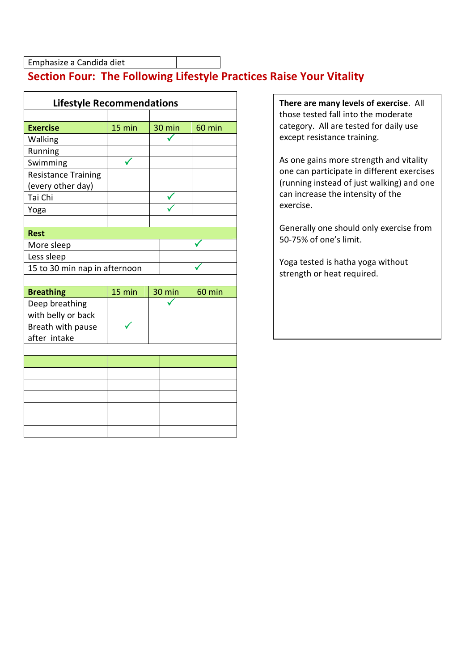Emphasize a Candida diet

# **Section Four: The Following Lifestyle Practices Raise Your Vitality**

| <b>Lifestyle Recommendations</b> |        |  |        |        |  |  |
|----------------------------------|--------|--|--------|--------|--|--|
|                                  |        |  |        |        |  |  |
| <b>Exercise</b>                  | 15 min |  | 30 min | 60 min |  |  |
| Walking                          |        |  |        |        |  |  |
| Running                          |        |  |        |        |  |  |
| Swimming                         |        |  |        |        |  |  |
| <b>Resistance Training</b>       |        |  |        |        |  |  |
| (every other day)                |        |  |        |        |  |  |
| Tai Chi                          |        |  |        |        |  |  |
| Yoga                             |        |  |        |        |  |  |
|                                  |        |  |        |        |  |  |
| <b>Rest</b>                      |        |  |        |        |  |  |
| More sleep                       |        |  |        |        |  |  |
| Less sleep                       |        |  |        |        |  |  |
| 15 to 30 min nap in afternoon    |        |  |        |        |  |  |
|                                  |        |  |        |        |  |  |
| <b>Breathing</b>                 | 15 min |  | 30 min | 60 min |  |  |
| Deep breathing                   |        |  |        |        |  |  |
| with belly or back               |        |  |        |        |  |  |
| Breath with pause                |        |  |        |        |  |  |
| after intake                     |        |  |        |        |  |  |
|                                  |        |  |        |        |  |  |
|                                  |        |  |        |        |  |  |
|                                  |        |  |        |        |  |  |
|                                  |        |  |        |        |  |  |
|                                  |        |  |        |        |  |  |
|                                  |        |  |        |        |  |  |
|                                  |        |  |        |        |  |  |
|                                  |        |  |        |        |  |  |

**There are many levels of exercise**. All those tested fall into the moderate category. All are tested for daily use except resistance training.

As one gains more strength and vitality one can participate in different exercises (running instead of just walking) and one can increase the intensity of the exercise.

Generally one should only exercise from 50-75% of one's limit.

Yoga tested is hatha yoga without strength or heat required.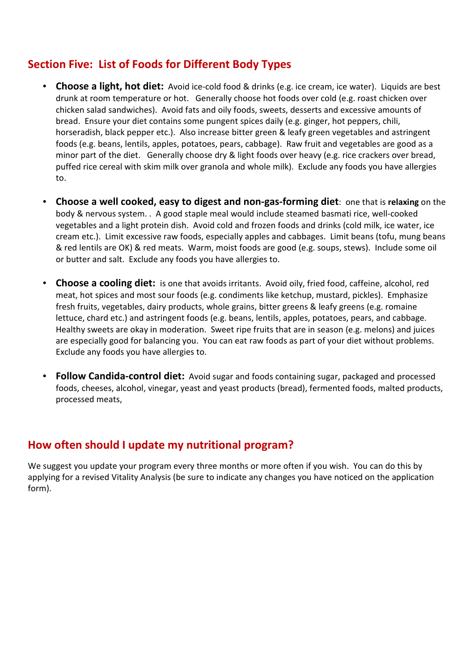### **Section Five: List of Foods for Different Body Types**

- **Choose a light, hot diet:** Avoid ice-cold food & drinks (e.g. ice cream, ice water). Liquids are best drunk at room temperature or hot. Generally choose hot foods over cold (e.g. roast chicken over chicken salad sandwiches). Avoid fats and oily foods, sweets, desserts and excessive amounts of bread. Ensure your diet contains some pungent spices daily (e.g. ginger, hot peppers, chili, horseradish, black pepper etc.). Also increase bitter green & leafy green vegetables and astringent foods (e.g. beans, lentils, apples, potatoes, pears, cabbage). Raw fruit and vegetables are good as a minor part of the diet. Generally choose dry & light foods over heavy (e.g. rice crackers over bread, puffed rice cereal with skim milk over granola and whole milk). Exclude any foods you have allergies to.
- **Choose a well cooked, easy to digest and non-gas-forming diet**: one that is **relaxing** on the body & nervous system. . A good staple meal would include steamed basmati rice, well-cooked vegetables and a light protein dish. Avoid cold and frozen foods and drinks (cold milk, ice water, ice cream etc.). Limit excessive raw foods, especially apples and cabbages. Limit beans (tofu, mung beans & red lentils are OK) & red meats. Warm, moist foods are good (e.g. soups, stews). Include some oil or butter and salt. Exclude any foods you have allergies to.
- **Choose a cooling diet:** is one that avoids irritants. Avoid oily, fried food, caffeine, alcohol, red meat, hot spices and most sour foods (e.g. condiments like ketchup, mustard, pickles). Emphasize fresh fruits, vegetables, dairy products, whole grains, bitter greens & leafy greens (e.g. romaine lettuce, chard etc.) and astringent foods (e.g. beans, lentils, apples, potatoes, pears, and cabbage. Healthy sweets are okay in moderation. Sweet ripe fruits that are in season (e.g. melons) and juices are especially good for balancing you. You can eat raw foods as part of your diet without problems. Exclude any foods you have allergies to.
- **Follow Candida-control diet:** Avoid sugar and foods containing sugar, packaged and processed foods, cheeses, alcohol, vinegar, yeast and yeast products (bread), fermented foods, malted products, processed meats,

# **How often should I update my nutritional program?**

We suggest you update your program every three months or more often if you wish. You can do this by applying for a revised Vitality Analysis (be sure to indicate any changes you have noticed on the application form).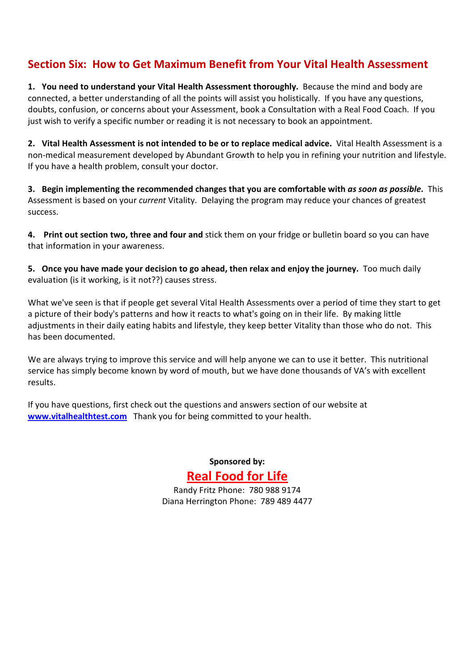# **Section Six: How to Get Maximum Benefit from Your Vital Health Assessment**

**1. You need to understand your Vital Health Assessment thoroughly.** Because the mind and body are connected, a better understanding of all the points will assist you holistically. If you have any questions, doubts, confusion, or concerns about your Assessment, book a Consultation with a Real Food Coach. If you just wish to verify a specific number or reading it is not necessary to book an appointment.

**2. Vital Health Assessment is not intended to be or to replace medical advice.** Vital Health Assessment is a non-medical measurement developed by Abundant Growth to help you in refining your nutrition and lifestyle. If you have a health problem, consult your doctor.

**3. Begin implementing the recommended changes that you are comfortable with** *as soon as possible***.** This Assessment is based on your *current* Vitality. Delaying the program may reduce your chances of greatest success.

**4. Print out section two, three and four and** stick them on your fridge or bulletin board so you can have that information in your awareness.

**5. Once you have made your decision to go ahead, then relax and enjoy the journey.** Too much daily evaluation (is it working, is it not??) causes stress.

What we've seen is that if people get several Vital Health Assessments over a period of time they start to get a picture of their body's patterns and how it reacts to what's going on in their life. By making little adjustments in their daily eating habits and lifestyle, they keep better Vitality than those who do not. This has been documented.

We are always trying to improve this service and will help anyone we can to use it better. This nutritional service has simply become known by word of mouth, but we have done thousands of VA's with excellent results.

If you have questions, first check out the questions and answers section of our website at **www.vitalhealthtest.com** Thank you for being committed to your health.

> **Sponsored by: Real Food for Life**

Randy Fritz Phone: 780 988 9174 Diana Herrington Phone: 789 489 4477